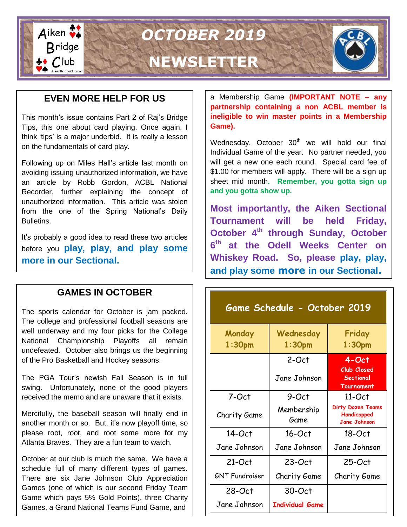

## **EVEN MORE HELP FOR US**

This month's issue contains Part 2 of Raj's Bridge Tips, this one about card playing. Once again, I think 'tips' is a major underbid. It is really a lesson on the fundamentals of card play.

Following up on Miles Hall's article last month on avoiding issuing unauthorized information, we have an article by Robb Gordon, ACBL National Recorder, further explaining the concept of unauthorized information. This article was stolen from the one of the Spring National's Daily Bulletins.

It's probably a good idea to read these two articles before you **play, play, and play some more in our Sectional.**

## **GAMES IN OCTOBER**

The sports calendar for October is jam packed. The college and professional football seasons are well underway and my four picks for the College National Championship Playoffs all remain undefeated. October also brings us the beginning of the Pro Basketball and Hockey seasons.

The PGA Tour's newish Fall Season is in full swing. Unfortunately, none of the good players received the memo and are unaware that it exists.

Mercifully, the baseball season will finally end in another month or so. But, it's now playoff time, so please root, root, and root some more for my Atlanta Braves. They are a fun team to watch.

October at our club is much the same. We have a schedule full of many different types of games. There are six Jane Johnson Club Appreciation Games (one of which is our second Friday Team Game which pays 5% Gold Points), three Charity Games, a Grand National Teams Fund Game, and

a Membership Game **(IMPORTANT NOTE – any partnership containing a non ACBL member is ineligible to win master points in a Membership Game).**

Wednesday, October  $30<sup>th</sup>$  we will hold our final Individual Game of the year. No partner needed, you will get a new one each round. Special card fee of \$1.00 for members will apply. There will be a sign up sheet mid month**. Remember, you gotta sign up and you gotta show up.**

**Most importantly, the Aiken Sectional Tournament will be held Friday, October 4th through Sunday, October 6 th at the Odell Weeks Center on Whiskey Road. So, please play, play, and play some more in our Sectional.**

| Game Schedule - October 2019 |                                 |                                                                 |  |  |
|------------------------------|---------------------------------|-----------------------------------------------------------------|--|--|
| Monday<br>1:30 <sub>pm</sub> | Wednesday<br>1:30 <sub>pm</sub> | Friday<br>1:30 <sub>pm</sub>                                    |  |  |
|                              | $2-Oct$<br>Jane Johnson         | $4-Oct$<br><b>Club Closed</b><br>Sectional<br><b>Tournament</b> |  |  |
| 7-Oct                        | 9-Oct                           | $11$ -Oct                                                       |  |  |
| Charity Game                 | Membership<br>Game              | <b>Dirty Dozen Teams</b><br>Handicapped<br><b>Jane Johnson</b>  |  |  |
| $14$ -Oct                    | $16$ -Oct                       | 18-Oct                                                          |  |  |
| Jane Johnson                 | Jane Johnson                    | Jane Johnson                                                    |  |  |
| $21-Oct$                     | $23-Oct$                        | $25-Oct$                                                        |  |  |
| <b>GNT Fundraiser</b>        | Charity Game                    | Charity Game                                                    |  |  |
| $28-Oct$                     | $30-Oct$                        |                                                                 |  |  |
| Jane Johnson                 | <b>Individual Game</b>          |                                                                 |  |  |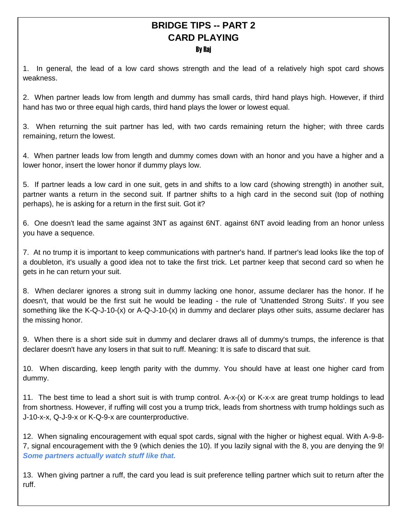# **BRIDGE TIPS -- PART 2 CARD PLAYING**

#### By Raj

1. In general, the lead of a low card shows strength and the lead of a relatively high spot card shows weakness.

2. When partner leads low from length and dummy has small cards, third hand plays high. However, if third hand has two or three equal high cards, third hand plays the lower or lowest equal.

3. When returning the suit partner has led, with two cards remaining return the higher; with three cards remaining, return the lowest.

4. When partner leads low from length and dummy comes down with an honor and you have a higher and a lower honor, insert the lower honor if dummy plays low.

5. If partner leads a low card in one suit, gets in and shifts to a low card (showing strength) in another suit, partner wants a return in the second suit. If partner shifts to a high card in the second suit (top of nothing perhaps), he is asking for a return in the first suit. Got it?

6. One doesn't lead the same against 3NT as against 6NT. against 6NT avoid leading from an honor unless you have a sequence.

7. At no trump it is important to keep communications with partner's hand. If partner's lead looks like the top of a doubleton, it's usually a good idea not to take the first trick. Let partner keep that second card so when he gets in he can return your suit.

8. When declarer ignores a strong suit in dummy lacking one honor, assume declarer has the honor. If he doesn't, that would be the first suit he would be leading - the rule of 'Unattended Strong Suits'. If you see something like the K-Q-J-10-(x) or A-Q-J-10-(x) in dummy and declarer plays other suits, assume declarer has the missing honor.

9. When there is a short side suit in dummy and declarer draws all of dummy's trumps, the inference is that declarer doesn't have any losers in that suit to ruff. Meaning: It is safe to discard that suit.

10. When discarding, keep length parity with the dummy. You should have at least one higher card from dummy.

11. The best time to lead a short suit is with trump control. A-x-(x) or K-x-x are great trump holdings to lead from shortness. However, if ruffing will cost you a trump trick, leads from shortness with trump holdings such as J-10-x-x, Q-J-9-x or K-Q-9-x are counterproductive.

12. When signaling encouragement with equal spot cards, signal with the higher or highest equal. With A-9-8- 7, signal encouragement with the 9 (which denies the 10). If you lazily signal with the 8, you are denying the 9! *Some partners actually watch stuff like that.*

13. When giving partner a ruff, the card you lead is suit preference telling partner which suit to return after the ruff.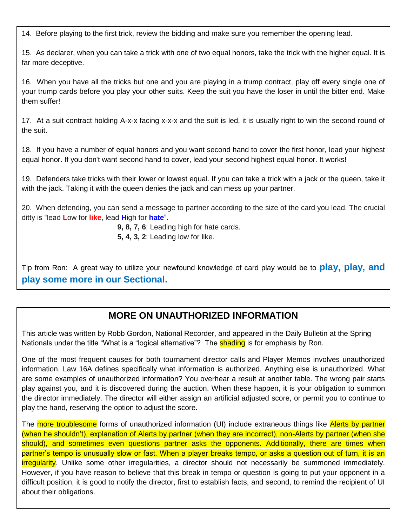14. Before playing to the first trick, review the bidding and make sure you remember the opening lead.

15. As declarer, when you can take a trick with one of two equal honors, take the trick with the higher equal. It is far more deceptive.

16. When you have all the tricks but one and you are playing in a trump contract, play off every single one of your trump cards before you play your other suits. Keep the suit you have the loser in until the bitter end. Make them suffer!

17. At a suit contract holding A-x-x facing x-x-x and the suit is led, it is usually right to win the second round of the suit.

18. If you have a number of equal honors and you want second hand to cover the first honor, lead your highest equal honor. If you don't want second hand to cover, lead your second highest equal honor. It works!

19. Defenders take tricks with their lower or lowest equal. If you can take a trick with a jack or the queen, take it with the jack. Taking it with the queen denies the jack and can mess up your partner.

20. When defending, you can send a message to partner according to the size of the card you lead. The crucial ditty is "lead **L**ow for **like**, lead **H**igh for **hate**".

**9, 8, 7, 6**: Leading high for hate cards.

**5, 4, 3, 2**: Leading low for like.

Tip from Ron: A great way to utilize your newfound knowledge of card play would be to **play, play, and play some more in our Sectional.**

### **MORE ON UNAUTHORIZED INFORMATION**

This article was written by Robb Gordon, National Recorder, and appeared in the Daily Bulletin at the Spring Nationals under the title "What is a "logical alternative"? The **shading** is for emphasis by Ron.

One of the most frequent causes for both tournament director calls and Player Memos involves unauthorized information. Law 16A defines specifically what information is authorized. Anything else is unauthorized. What are some examples of unauthorized information? You overhear a result at another table. The wrong pair starts play against you, and it is discovered during the auction. When these happen, it is your obligation to summon the director immediately. The director will either assign an artificial adjusted score, or permit you to continue to play the hand, reserving the option to adjust the score.

The more troublesome forms of unauthorized information (UI) include extraneous things like Alerts by partner (when he shouldn't), explanation of Alerts by partner (when they are incorrect), non-Alerts by partner (when she should), and sometimes even questions partner asks the opponents. Additionally, there are times when partner's tempo is unusually slow or fast. When a player breaks tempo, or asks a question out of turn, it is an irregularity. Unlike some other irregularities, a director should not necessarily be summoned immediately. However, if you have reason to believe that this break in tempo or question is going to put your opponent in a difficult position, it is good to notify the director, first to establish facts, and second, to remind the recipient of UI about their obligations.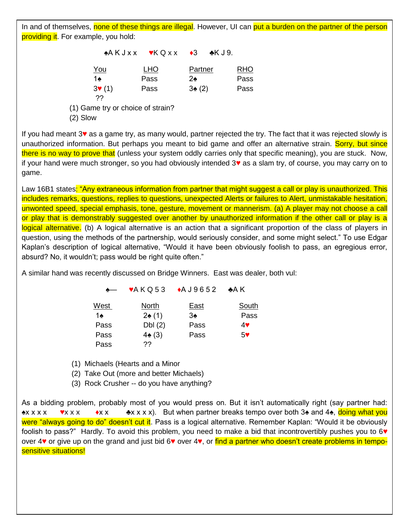In and of themselves, none of these things are illegal. However, UI can put a burden on the partner of the person <mark>providing it</mark>. For example, you hold:

|                                     | $A K J X X$ $V K Q X X$ $A3$ $A K J9$ . |               |            |
|-------------------------------------|-----------------------------------------|---------------|------------|
| You                                 | <b>LHO</b>                              | Partner       | <b>RHO</b> |
| 1♠                                  | Pass                                    | $2\spadesuit$ | Pass       |
| $3\blacktriangledown(1)$<br>??      | Pass                                    | 3(2)          | Pass       |
| $(1)$ Came try or choice of etrain? |                                         |               |            |

(1) Game try or choice of strain?

(2) Slow

If you had meant 3♥ as a game try, as many would, partner rejected the try. The fact that it was rejected slowly is unauthorized information. But perhaps you meant to bid game and offer an alternative strain. Sorry, but since there is no way to prove that (unless your system oddly carries only that specific meaning), you are stuck. Now, if your hand were much stronger, so you had obviously intended 3♥ as a slam try, of course, you may carry on to game.

Law 16B1 states: "Any extraneous information from partner that might suggest a call or play is unauthorized. This includes remarks, questions, replies to questions, unexpected Alerts or failures to Alert, unmistakable hesitation, unwonted speed, special emphasis, tone, gesture, movement or mannerism. (a) A player may not choose a call or play that is demonstrably suggested over another by unauthorized information if the other call or play is a logical alternative. (b) A logical alternative is an action that a significant proportion of the class of players in question, using the methods of the partnership, would seriously consider, and some might select." To use Edgar Kaplan's description of logical alternative, "Would it have been obviously foolish to pass, an egregious error, absurd? No, it wouldn't; pass would be right quite often."

A similar hand was recently discussed on Bridge Winners. East was dealer, both vul:

| $\leftarrow$ |                  | $\blacktriangleright$ AKQ53 $\blacktriangleright$ AJ9652 | –*A K          |
|--------------|------------------|----------------------------------------------------------|----------------|
| West         | North            | <u>East</u>                                              | <b>South</b>   |
| 1♠           | 2(1)             | 3♠                                                       | Pass           |
| Pass         | DbI(2)           | Pass                                                     | 4♥             |
| Pass         | $4\spadesuit(3)$ | Pass                                                     | 5 <sup>4</sup> |
| Pass         | 22               |                                                          |                |

(1) Michaels (Hearts and a Minor

(2) Take Out (more and better Michaels)

(3) Rock Crusher -- do you have anything?

**Dental Bridge** As a bidding problem, probably most of you would press on. But it isn't automatically right (say partner had: <u>♣</u>x x x x  $\bullet$ x x x  $\bullet$   $\bullet$  x x x x x). But when partner breaks tempo over both 3♠ and 4♠, doing what you were "always going to do" doesn't cut it. Pass is a logical alternative. Remember Kaplan: "Would it be obviously foolish to pass?" Hardly. To avoid this problem, you need to make a bid that incontrovertibly pushes you to 6 over 4♥ or give up on the grand and just bid 6♥ over 4♥, or find a partner who doesn't create problems in temposensitive situations!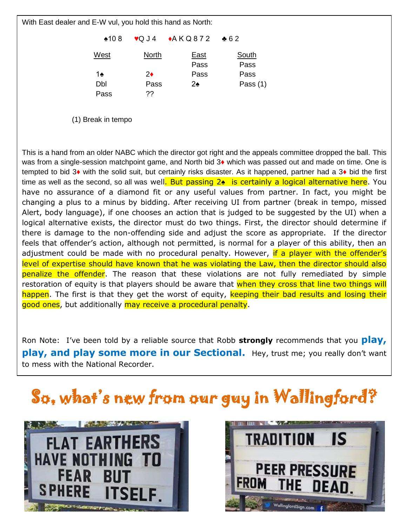With East dealer and E-W vul, you hold this hand as North:

♠10 8 ♥Q J 4 ♦A K Q 8 7 2 ♣ 6 2

| West | <b>North</b> | East<br>Pass | South<br>Pass |
|------|--------------|--------------|---------------|
| 1∻   | 2♦           | Pass         | Pass          |
| Dbl  | Pass         | 2♠           | Pass $(1)$    |
| Pass | 22           |              |               |

(1) Break in tempo

This is a hand from an older NABC which the director got right and the appeals committee dropped the ball. This was from a single-session matchpoint game, and North bid 3♦ which was passed out and made on time. One is tempted to bid 3♦ with the solid suit, but certainly risks disaster. As it happened, partner had a 3♦ bid the first time as well as the second, so all was well. But passing 2♠ is certainly a logical alternative here. You have no assurance of a diamond fit or any useful values from partner. In fact, you might be changing a plus to a minus by bidding. After receiving UI from partner (break in tempo, missed Alert, body language), if one chooses an action that is judged to be suggested by the UI) when a logical alternative exists, the director must do two things. First, the director should determine if there is damage to the non-offending side and adjust the score as appropriate. If the director feels that offender's action, although not permitted, is normal for a player of this ability, then an adjustment could be made with no procedural penalty. However, if a player with the offender's level of expertise should have known that he was violating the Law, then the director should also penalize the offender. The reason that these violations are not fully remediated by simple restoration of equity is that players should be aware that when they cross that line two things will happen. The first is that they get the worst of equity, keeping their bad results and losing their good ones, but additionally may receive a procedural penalty.

Ron Note: I've been told by a reliable source that Robb **strongly** recommends that you **play, play, and play some more in our Sectional.** Hey, trust me; you really don't want to mess with the National Recorder.

# So, what's new from our guy in Wallingford?